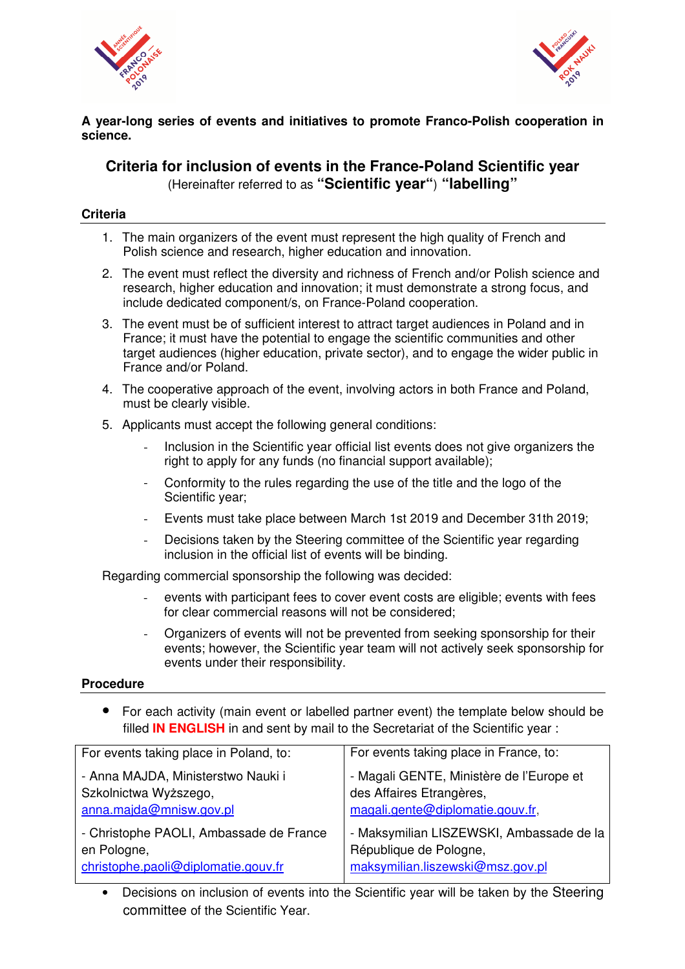



### **A year-long series of events and initiatives to promote Franco-Polish cooperation in science.**

## **Criteria for inclusion of events in the France-Poland Scientific year**  (Hereinafter referred to as **"Scientific year"**) **"labelling"**

#### **Criteria**

- 1. The main organizers of the event must represent the high quality of French and Polish science and research, higher education and innovation.
- 2. The event must reflect the diversity and richness of French and/or Polish science and research, higher education and innovation; it must demonstrate a strong focus, and include dedicated component/s, on France-Poland cooperation.
- 3. The event must be of sufficient interest to attract target audiences in Poland and in France; it must have the potential to engage the scientific communities and other target audiences (higher education, private sector), and to engage the wider public in France and/or Poland.
- 4. The cooperative approach of the event, involving actors in both France and Poland, must be clearly visible.
- 5. Applicants must accept the following general conditions:
	- Inclusion in the Scientific year official list events does not give organizers the right to apply for any funds (no financial support available);
	- Conformity to the rules regarding the use of the title and the logo of the Scientific year;
	- Events must take place between March 1st 2019 and December 31th 2019;
	- Decisions taken by the Steering committee of the Scientific year regarding inclusion in the official list of events will be binding.

Regarding commercial sponsorship the following was decided:

- events with participant fees to cover event costs are eligible; events with fees for clear commercial reasons will not be considered;
- Organizers of events will not be prevented from seeking sponsorship for their events; however, the Scientific year team will not actively seek sponsorship for events under their responsibility.

#### **Procedure**

• For each activity (main event or labelled partner event) the template below should be filled **IN ENGLISH** in and sent by mail to the Secretariat of the Scientific year :

| For events taking place in Poland, to:  | For events taking place in France, to:   |
|-----------------------------------------|------------------------------------------|
| - Anna MAJDA, Ministerstwo Nauki i      | - Magali GENTE, Ministère de l'Europe et |
| Szkolnictwa Wyższego,                   | des Affaires Etrangères,                 |
| anna.majda@mnisw.gov.pl                 | magali.gente@diplomatie.gouv.fr,         |
| - Christophe PAOLI, Ambassade de France | - Maksymilian LISZEWSKI, Ambassade de la |
| en Pologne,                             | République de Pologne,                   |
| christophe.paoli@diplomatie.gouv.fr     | maksymilian.liszewski@msz.gov.pl         |

• Decisions on inclusion of events into the Scientific year will be taken by the Steering committee of the Scientific Year.